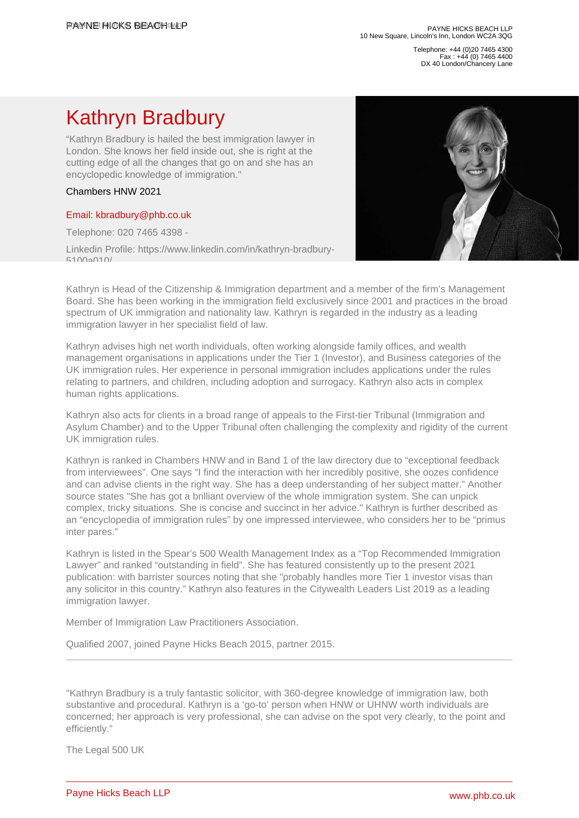Telephone: +44 (0)20 7465 4300 Fax : +44 (0) 7465 4400 DX 40 London/Chancery Lane

## Kathryn Bradbury

"Kathryn Bradbury is hailed the best immigration lawyer in London. She knows her field inside out, she is right at the cutting edge of all the changes that go on and she has an encyclopedic knowledge of immigration."

## Chambers HNW 2021

## [Email: kbradbury@phb.co.uk](�� m a i l t o : k b r a d b u r y @ p h b . c o . u k)

Telephone: 020 7465 4398 -

Linkedin Profile: https://www.linkedin.com/in/kathryn-bradbury-5100a010/

Kathryn is Head of the Citizenship & Immigration department and a member of the firm's Management Board. She has been working in the immigration field exclusively since 2001 and practices in the broad spectrum of UK immigration and nationality law. Kathryn is regarded in the industry as a leading immigration lawyer in her specialist field of law.

Kathryn advises high net worth individuals, often working alongside family offices, and wealth management organisations in applications under the Tier 1 (Investor), and Business categories of the UK immigration rules. Her experience in personal immigration includes applications under the rules relating to partners, and children, including adoption and surrogacy. Kathryn also acts in complex human rights applications.

Kathryn also acts for clients in a broad range of appeals to the First-tier Tribunal (Immigration and Asylum Chamber) and to the Upper Tribunal often challenging the complexity and rigidity of the current UK immigration rules.

Kathryn is ranked in Chambers HNW and in Band 1 of the law directory due to "exceptional feedback from interviewees". One says "I find the interaction with her incredibly positive, she oozes confidence and can advise clients in the right way. She has a deep understanding of her subject matter." Another source states "She has got a brilliant overview of the whole immigration system. She can unpick complex, tricky situations. She is concise and succinct in her advice." Kathryn is further described as an "encyclopedia of immigration rules" by one impressed interviewee, who considers her to be "primus inter pares."

Kathryn is listed in the Spear's 500 Wealth Management Index as a "Top Recommended Immigration Lawyer" and ranked "outstanding in field". She has featured consistently up to the present 2021 publication: with barrister sources noting that she "probably handles more Tier 1 investor visas than any solicitor in this country." Kathryn also features in the Citywealth Leaders List 2019 as a leading immigration lawyer.

Member of Immigration Law Practitioners Association.

Qualified 2007, joined Payne Hicks Beach 2015, partner 2015.

"Kathryn Bradbury is a truly fantastic solicitor, with 360-degree knowledge of immigration law, both substantive and procedural. Kathryn is a 'go-to' person when HNW or UHNW worth individuals are concerned; her approach is very professional, she can advise on the spot very clearly, to the point and efficiently."

The Legal 500 UK